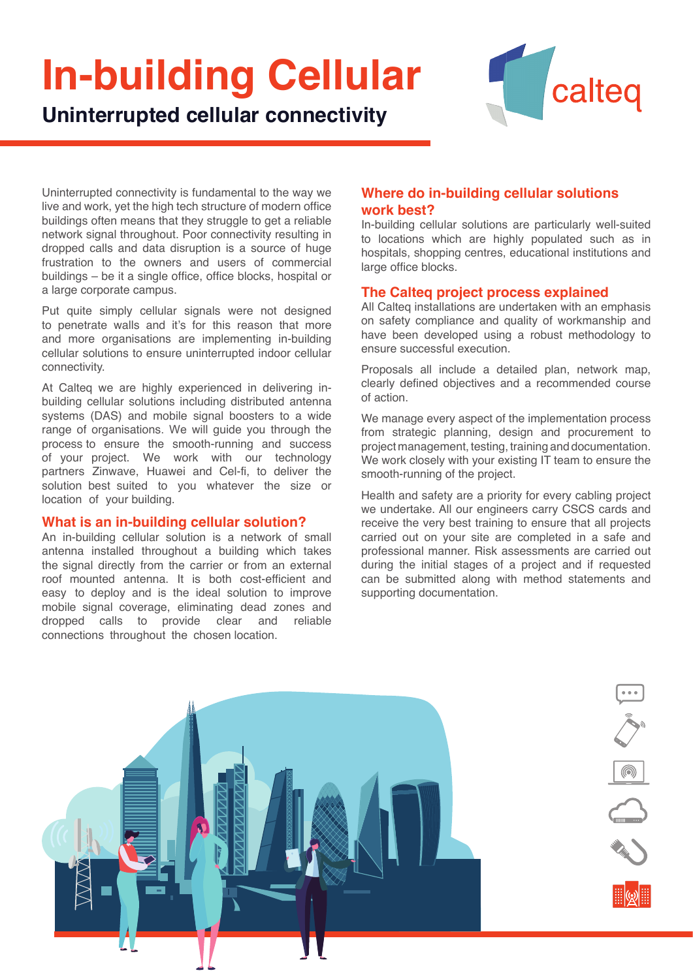# **In-building Cellular**



**Uninterrupted cellular connectivity**

Uninterrupted connectivity is fundamental to the way we live and work, yet the high tech structure of modern office buildings often means that they struggle to get a reliable network signal throughout. Poor connectivity resulting in dropped calls and data disruption is a source of huge frustration to the owners and users of commercial buildings – be it a single office, office blocks, hospital or a large corporate campus.

Put quite simply cellular signals were not designed to penetrate walls and it's for this reason that more and more organisations are implementing in-building cellular solutions to ensure uninterrupted indoor cellular connectivity.

At Calteq we are highly experienced in delivering inbuilding cellular solutions including distributed antenna systems (DAS) and mobile signal boosters to a wide range of organisations. We will guide you through the process to ensure the smooth-running and success of your project. We work with our technology partners Zinwave, Huawei and Cel-fi, to deliver the solution best suited to you whatever the size or location of your building.

#### **What is an in-building cellular solution?**

An in-building cellular solution is a network of small antenna installed throughout a building which takes the signal directly from the carrier or from an external roof mounted antenna. It is both cost-efficient and easy to deploy and is the ideal solution to improve mobile signal coverage, eliminating dead zones and dropped calls to provide clear and reliable connections throughout the chosen location.

## **Where do in-building cellular solutions work best?**

In-building cellular solutions are particularly well-suited to locations which are highly populated such as in hospitals, shopping centres, educational institutions and large office blocks.

### **The Calteq project process explained**

All Calteq installations are undertaken with an emphasis on safety compliance and quality of workmanship and have been developed using a robust methodology to ensure successful execution.

Proposals all include a detailed plan, network map, clearly defined objectives and a recommended course of action.

We manage every aspect of the implementation process from strategic planning, design and procurement to project management, testing, training and documentation. We work closely with your existing IT team to ensure the smooth-running of the project.

Health and safety are a priority for every cabling project we undertake. All our engineers carry CSCS cards and receive the very best training to ensure that all projects carried out on your site are completed in a safe and professional manner. Risk assessments are carried out during the initial stages of a project and if requested can be submitted along with method statements and supporting documentation.